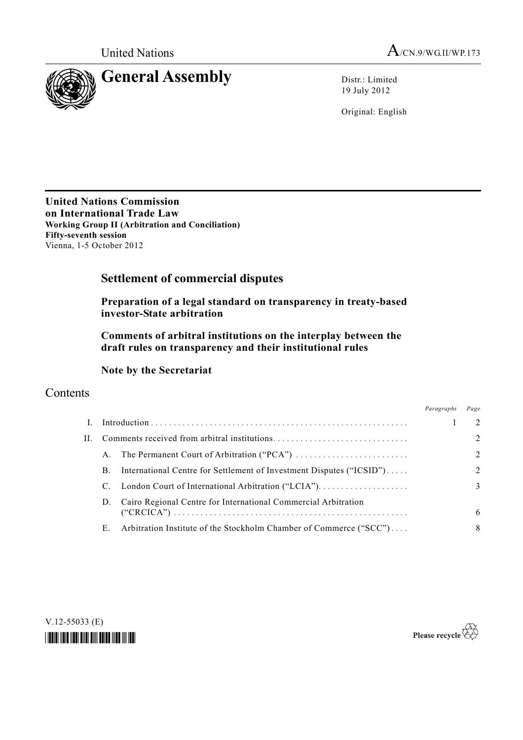



19 July 2012

Original: English

**United Nations Commission on International Trade Law Working Group II (Arbitration and Conciliation) Fifty-seventh session**  Vienna, 1-5 October 2012

# **Settlement of commercial disputes**

 **Preparation of a legal standard on transparency in treaty-based investor-State arbitration** 

 **Comments of arbitral institutions on the interplay between the draft rules on transparency and their institutional rules** 

## **Note by the Secretariat**

## **Contents**

|              |    |                                                                      | Paragraphs | Page           |
|--------------|----|----------------------------------------------------------------------|------------|----------------|
| $\mathbf{L}$ |    |                                                                      |            | 2              |
| Н.           |    |                                                                      |            | $\overline{2}$ |
|              | A. |                                                                      |            | $\overline{2}$ |
|              | В. | International Centre for Settlement of Investment Disputes ("ICSID") |            | $\overline{2}$ |
|              |    |                                                                      |            | 3              |
|              |    | D. Cairo Regional Centre for International Commercial Arbitration    |            | 6              |
|              | E. | Arbitration Institute of the Stockholm Chamber of Commerce ("SCC")   |            | 8              |



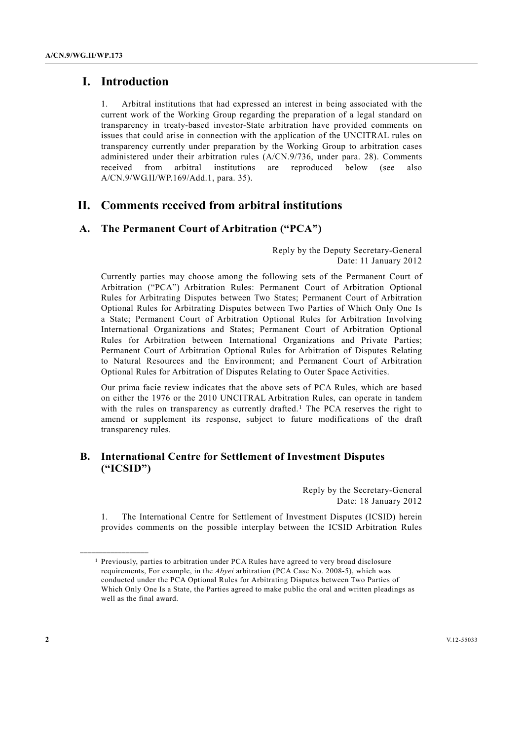## **I. Introduction**

1. Arbitral institutions that had expressed an interest in being associated with the current work of the Working Group regarding the preparation of a legal standard on transparency in treaty-based investor-State arbitration have provided comments on issues that could arise in connection with the application of the UNCITRAL rules on transparency currently under preparation by the Working Group to arbitration cases administered under their arbitration rules (A/CN.9/736, under para. 28). Comments received from arbitral institutions are reproduced below (see also A/CN.9/WG.II/WP.169/Add.1, para. 35).

## **II. Comments received from arbitral institutions**

## **A. The Permanent Court of Arbitration ("PCA")**

Reply by the Deputy Secretary-General Date: 11 January 2012

Currently parties may choose among the following sets of the Permanent Court of Arbitration ("PCA") Arbitration Rules: Permanent Court of Arbitration Optional Rules for Arbitrating Disputes between Two States; Permanent Court of Arbitration Optional Rules for Arbitrating Disputes between Two Parties of Which Only One Is a State; Permanent Court of Arbitration Optional Rules for Arbitration Involving International Organizations and States; Permanent Court of Arbitration Optional Rules for Arbitration between International Organizations and Private Parties; Permanent Court of Arbitration Optional Rules for Arbitration of Disputes Relating to Natural Resources and the Environment; and Permanent Court of Arbitration Optional Rules for Arbitration of Disputes Relating to Outer Space Activities.

Our prima facie review indicates that the above sets of PCA Rules, which are based on either the 1976 or the 2010 UNCITRAL Arbitration Rules, can operate in tandem with the rules on transparency as currently drafted.<sup>1</sup> The PCA reserves the right to amend or supplement its response, subject to future modifications of the draft transparency rules.

## **B. International Centre for Settlement of Investment Disputes ("ICSID")**

Reply by the Secretary-General Date: 18 January 2012

1. The International Centre for Settlement of Investment Disputes (ICSID) herein provides comments on the possible interplay between the ICSID Arbitration Rules

**\_\_\_\_\_\_\_\_\_\_\_\_\_\_\_\_\_\_** 

<sup>1</sup> Previously, parties to arbitration under PCA Rules have agreed to very broad disclosure requirements, For example, in the *Abyei* arbitration (PCA Case No. 2008-5), which was conducted under the PCA Optional Rules for Arbitrating Disputes between Two Parties of Which Only One Is a State, the Parties agreed to make public the oral and written pleadings as well as the final award.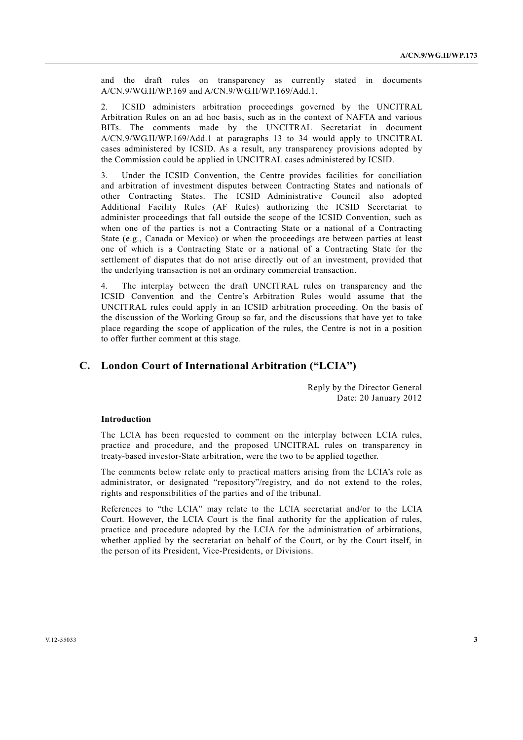and the draft rules on transparency as currently stated in documents A/CN.9/WG.II/WP.169 and A/CN.9/WG.II/WP.169/Add.1.

2. ICSID administers arbitration proceedings governed by the UNCITRAL Arbitration Rules on an ad hoc basis, such as in the context of NAFTA and various BITs. The comments made by the UNCITRAL Secretariat in document A/CN.9/WG.II/WP.169/Add.1 at paragraphs 13 to 34 would apply to UNCITRAL cases administered by ICSID. As a result, any transparency provisions adopted by the Commission could be applied in UNCITRAL cases administered by ICSID.

3. Under the ICSID Convention, the Centre provides facilities for conciliation and arbitration of investment disputes between Contracting States and nationals of other Contracting States. The ICSID Administrative Council also adopted Additional Facility Rules (AF Rules) authorizing the ICSID Secretariat to administer proceedings that fall outside the scope of the ICSID Convention, such as when one of the parties is not a Contracting State or a national of a Contracting State (e.g., Canada or Mexico) or when the proceedings are between parties at least one of which is a Contracting State or a national of a Contracting State for the settlement of disputes that do not arise directly out of an investment, provided that the underlying transaction is not an ordinary commercial transaction.

The interplay between the draft UNCITRAL rules on transparency and the ICSID Convention and the Centre's Arbitration Rules would assume that the UNCITRAL rules could apply in an ICSID arbitration proceeding. On the basis of the discussion of the Working Group so far, and the discussions that have yet to take place regarding the scope of application of the rules, the Centre is not in a position to offer further comment at this stage.

## **C. London Court of International Arbitration ("LCIA")**

Reply by the Director General Date: 20 January 2012

### **Introduction**

The LCIA has been requested to comment on the interplay between LCIA rules, practice and procedure, and the proposed UNCITRAL rules on transparency in treaty-based investor-State arbitration, were the two to be applied together.

The comments below relate only to practical matters arising from the LCIA's role as administrator, or designated "repository"/registry, and do not extend to the roles, rights and responsibilities of the parties and of the tribunal.

References to "the LCIA" may relate to the LCIA secretariat and/or to the LCIA Court. However, the LCIA Court is the final authority for the application of rules, practice and procedure adopted by the LCIA for the administration of arbitrations, whether applied by the secretariat on behalf of the Court, or by the Court itself, in the person of its President, Vice-Presidents, or Divisions.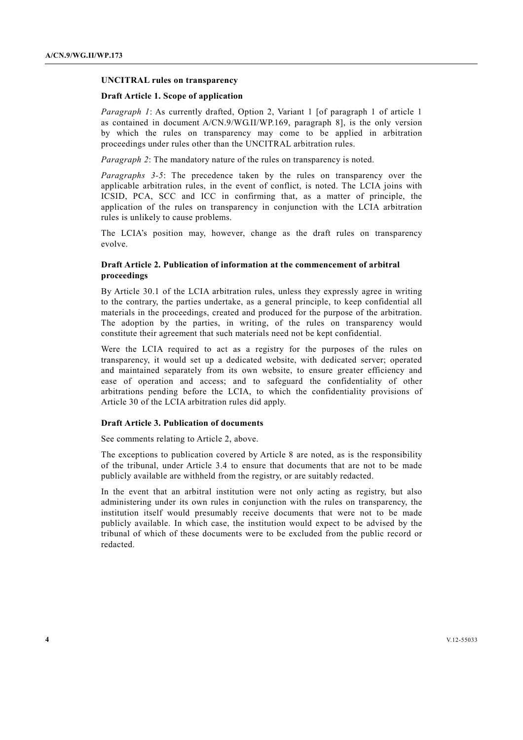#### **UNCITRAL rules on transparency**

#### **Draft Article 1. Scope of application**

*Paragraph 1*: As currently drafted, Option 2, Variant 1 [of paragraph 1 of article 1 as contained in document A/CN.9/WG.II/WP.169, paragraph 8], is the only version by which the rules on transparency may come to be applied in arbitration proceedings under rules other than the UNCITRAL arbitration rules.

*Paragraph 2*: The mandatory nature of the rules on transparency is noted.

*Paragraphs 3-5*: The precedence taken by the rules on transparency over the applicable arbitration rules, in the event of conflict, is noted. The LCIA joins with ICSID, PCA, SCC and ICC in confirming that, as a matter of principle, the application of the rules on transparency in conjunction with the LCIA arbitration rules is unlikely to cause problems.

The LCIA's position may, however, change as the draft rules on transparency evolve.

## **Draft Article 2. Publication of information at the commencement of arbitral proceedings**

By Article 30.1 of the LCIA arbitration rules, unless they expressly agree in writing to the contrary, the parties undertake, as a general principle, to keep confidential all materials in the proceedings, created and produced for the purpose of the arbitration. The adoption by the parties, in writing, of the rules on transparency would constitute their agreement that such materials need not be kept confidential.

Were the LCIA required to act as a registry for the purposes of the rules on transparency, it would set up a dedicated website, with dedicated server; operated and maintained separately from its own website, to ensure greater efficiency and ease of operation and access; and to safeguard the confidentiality of other arbitrations pending before the LCIA, to which the confidentiality provisions of Article 30 of the LCIA arbitration rules did apply.

### **Draft Article 3. Publication of documents**

See comments relating to Article 2, above.

The exceptions to publication covered by Article 8 are noted, as is the responsibility of the tribunal, under Article 3.4 to ensure that documents that are not to be made publicly available are withheld from the registry, or are suitably redacted.

In the event that an arbitral institution were not only acting as registry, but also administering under its own rules in conjunction with the rules on transparency, the institution itself would presumably receive documents that were not to be made publicly available. In which case, the institution would expect to be advised by the tribunal of which of these documents were to be excluded from the public record or redacted.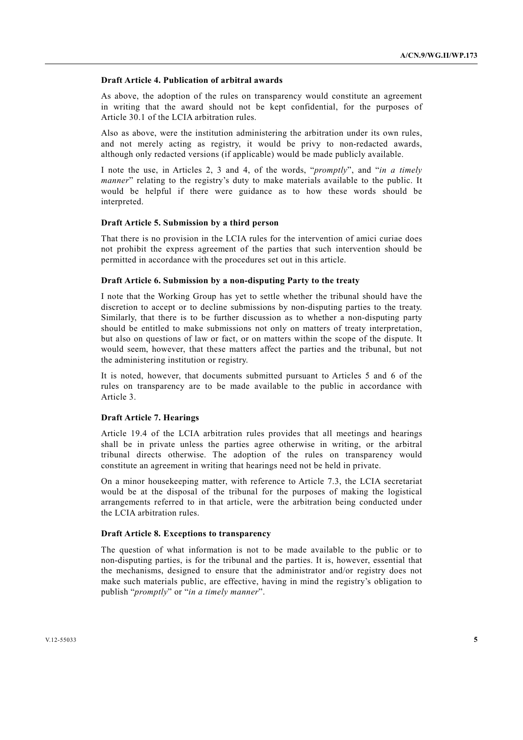#### **Draft Article 4. Publication of arbitral awards**

As above, the adoption of the rules on transparency would constitute an agreement in writing that the award should not be kept confidential, for the purposes of Article 30.1 of the LCIA arbitration rules.

Also as above, were the institution administering the arbitration under its own rules, and not merely acting as registry, it would be privy to non-redacted awards, although only redacted versions (if applicable) would be made publicly available.

I note the use, in Articles 2, 3 and 4, of the words, "*promptly*", and "*in a timely manner*" relating to the registry's duty to make materials available to the public. It would be helpful if there were guidance as to how these words should be interpreted.

#### **Draft Article 5. Submission by a third person**

That there is no provision in the LCIA rules for the intervention of amici curiae does not prohibit the express agreement of the parties that such intervention should be permitted in accordance with the procedures set out in this article.

#### **Draft Article 6. Submission by a non-disputing Party to the treaty**

I note that the Working Group has yet to settle whether the tribunal should have the discretion to accept or to decline submissions by non-disputing parties to the treaty. Similarly, that there is to be further discussion as to whether a non-disputing party should be entitled to make submissions not only on matters of treaty interpretation, but also on questions of law or fact, or on matters within the scope of the dispute. It would seem, however, that these matters affect the parties and the tribunal, but not the administering institution or registry.

It is noted, however, that documents submitted pursuant to Articles 5 and 6 of the rules on transparency are to be made available to the public in accordance with Article 3.

#### **Draft Article 7. Hearings**

Article 19.4 of the LCIA arbitration rules provides that all meetings and hearings shall be in private unless the parties agree otherwise in writing, or the arbitral tribunal directs otherwise. The adoption of the rules on transparency would constitute an agreement in writing that hearings need not be held in private.

On a minor housekeeping matter, with reference to Article 7.3, the LCIA secretariat would be at the disposal of the tribunal for the purposes of making the logistical arrangements referred to in that article, were the arbitration being conducted under the LCIA arbitration rules.

#### **Draft Article 8. Exceptions to transparency**

The question of what information is not to be made available to the public or to non-disputing parties, is for the tribunal and the parties. It is, however, essential that the mechanisms, designed to ensure that the administrator and/or registry does not make such materials public, are effective, having in mind the registry's obligation to publish "*promptly*" or "*in a timely manner*".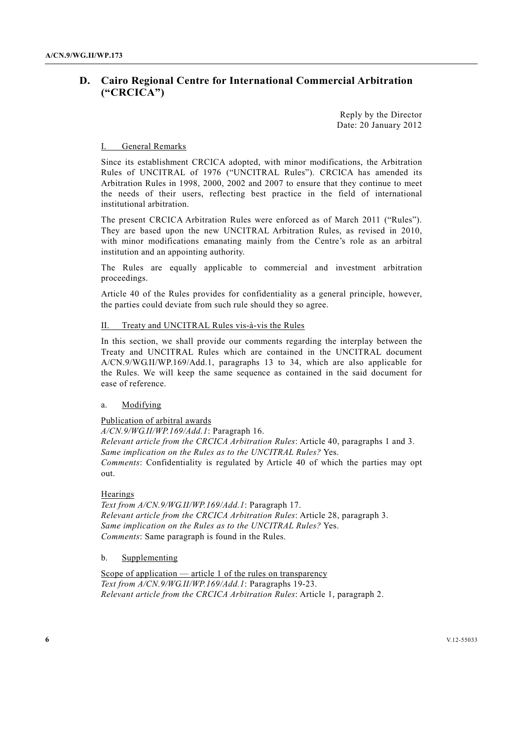## **D. Cairo Regional Centre for International Commercial Arbitration ("CRCICA")**

Reply by the Director Date: 20 January 2012

#### I. General Remarks

Since its establishment CRCICA adopted, with minor modifications, the Arbitration Rules of UNCITRAL of 1976 ("UNCITRAL Rules"). CRCICA has amended its Arbitration Rules in 1998, 2000, 2002 and 2007 to ensure that they continue to meet the needs of their users, reflecting best practice in the field of international institutional arbitration.

The present CRCICA Arbitration Rules were enforced as of March 2011 ("Rules"). They are based upon the new UNCITRAL Arbitration Rules, as revised in 2010, with minor modifications emanating mainly from the Centre's role as an arbitral institution and an appointing authority.

The Rules are equally applicable to commercial and investment arbitration proceedings.

Article 40 of the Rules provides for confidentiality as a general principle, however, the parties could deviate from such rule should they so agree.

#### II. Treaty and UNCITRAL Rules vis-à-vis the Rules

In this section, we shall provide our comments regarding the interplay between the Treaty and UNCITRAL Rules which are contained in the UNCITRAL document A/CN.9/WG.II/WP.169/Add.1, paragraphs 13 to 34, which are also applicable for the Rules. We will keep the same sequence as contained in the said document for ease of reference.

#### a. Modifying

Publication of arbitral awards

*A/CN.9/WG.II/WP.169/Add.1*: Paragraph 16. *Relevant article from the CRCICA Arbitration Rules*: Article 40, paragraphs 1 and 3. *Same implication on the Rules as to the UNCITRAL Rules?* Yes. *Comments*: Confidentiality is regulated by Article 40 of which the parties may opt out.

#### Hearings

*Text from A/CN.9/WG.II/WP.169/Add.1*: Paragraph 17. *Relevant article from the CRCICA Arbitration Rules*: Article 28, paragraph 3. *Same implication on the Rules as to the UNCITRAL Rules?* Yes. *Comments*: Same paragraph is found in the Rules.

### b. Supplementing

Scope of application — article 1 of the rules on transparency *Text from A/CN.9/WG.II/WP.169/Add.1*: Paragraphs 19-23. *Relevant article from the CRCICA Arbitration Rules*: Article 1, paragraph 2.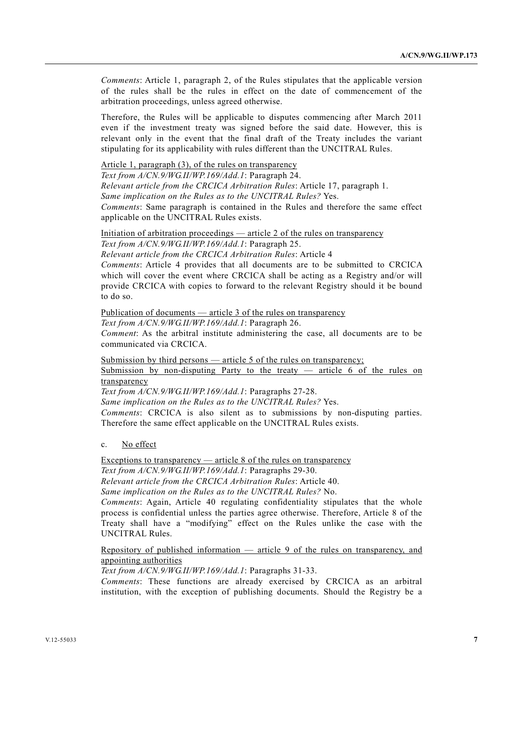*Comments*: Article 1, paragraph 2, of the Rules stipulates that the applicable version of the rules shall be the rules in effect on the date of commencement of the arbitration proceedings, unless agreed otherwise.

Therefore, the Rules will be applicable to disputes commencing after March 2011 even if the investment treaty was signed before the said date. However, this is relevant only in the event that the final draft of the Treaty includes the variant stipulating for its applicability with rules different than the UNCITRAL Rules.

### Article 1, paragraph (3), of the rules on transparency

*Text from A/CN.9/WG.II/WP.169/Add.1*: Paragraph 24. *Relevant article from the CRCICA Arbitration Rules*: Article 17, paragraph 1. *Same implication on the Rules as to the UNCITRAL Rules?* Yes. *Comments*: Same paragraph is contained in the Rules and therefore the same effect applicable on the UNCITRAL Rules exists.

#### Initiation of arbitration proceedings — article 2 of the rules on transparency *Text from A/CN.9/WG.II/WP.169/Add.1*: Paragraph 25.

*Relevant article from the CRCICA Arbitration Rules*: Article 4

*Comments*: Article 4 provides that all documents are to be submitted to CRCICA which will cover the event where CRCICA shall be acting as a Registry and/or will provide CRCICA with copies to forward to the relevant Registry should it be bound to do so.

## Publication of documents — article 3 of the rules on transparency

*Text from A/CN.9/WG.II/WP.169/Add.1*: Paragraph 26.

*Comment*: As the arbitral institute administering the case, all documents are to be communicated via CRCICA.

Submission by third persons — article 5 of the rules on transparency;

Submission by non-disputing Party to the treaty  $-$  article 6 of the rules on transparency

*Text from A/CN.9/WG.II/WP.169/Add.1*: Paragraphs 27-28.

*Same implication on the Rules as to the UNCITRAL Rules?* Yes. *Comments*: CRCICA is also silent as to submissions by non-disputing parties. Therefore the same effect applicable on the UNCITRAL Rules exists.

#### c. No effect

Exceptions to transparency — article  $8$  of the rules on transparency *Text from A/CN.9/WG.II/WP.169/Add.1*: Paragraphs 29-30.

*Relevant article from the CRCICA Arbitration Rules*: Article 40.

*Same implication on the Rules as to the UNCITRAL Rules?* No.

*Comments*: Again, Article 40 regulating confidentiality stipulates that the whole process is confidential unless the parties agree otherwise. Therefore, Article 8 of the Treaty shall have a "modifying" effect on the Rules unlike the case with the UNCITRAL Rules.

Repository of published information — article 9 of the rules on transparency, and appointing authorities

*Text from A/CN.9/WG.II/WP.169/Add.1*: Paragraphs 31-33.

*Comments*: These functions are already exercised by CRCICA as an arbitral institution, with the exception of publishing documents. Should the Registry be a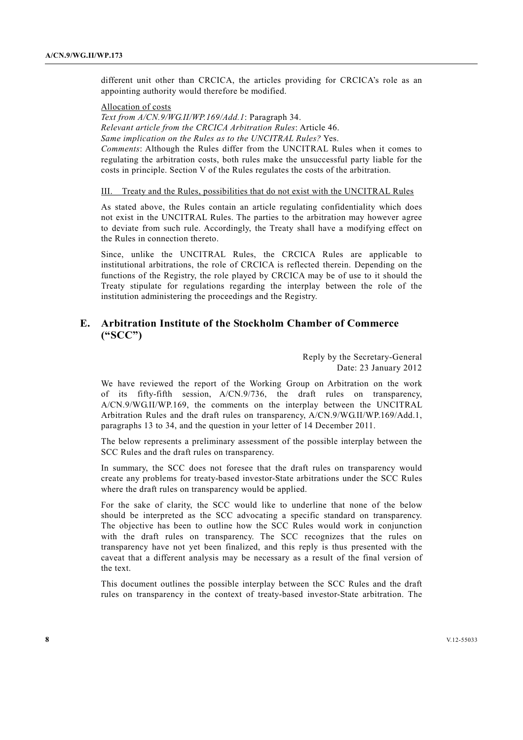different unit other than CRCICA, the articles providing for CRCICA's role as an appointing authority would therefore be modified.

Allocation of costs

*Text from A/CN.9/WG.II/WP.169/Add.1*: Paragraph 34. *Relevant article from the CRCICA Arbitration Rules*: Article 46. *Same implication on the Rules as to the UNCITRAL Rules?* Yes. *Comments*: Although the Rules differ from the UNCITRAL Rules when it comes to regulating the arbitration costs, both rules make the unsuccessful party liable for the costs in principle. Section V of the Rules regulates the costs of the arbitration.

### III. Treaty and the Rules, possibilities that do not exist with the UNCITRAL Rules

As stated above, the Rules contain an article regulating confidentiality which does not exist in the UNCITRAL Rules. The parties to the arbitration may however agree to deviate from such rule. Accordingly, the Treaty shall have a modifying effect on the Rules in connection thereto.

Since, unlike the UNCITRAL Rules, the CRCICA Rules are applicable to institutional arbitrations, the role of CRCICA is reflected therein. Depending on the functions of the Registry, the role played by CRCICA may be of use to it should the Treaty stipulate for regulations regarding the interplay between the role of the institution administering the proceedings and the Registry.

## **E. Arbitration Institute of the Stockholm Chamber of Commerce ("SCC")**

Reply by the Secretary-General Date: 23 January 2012

We have reviewed the report of the Working Group on Arbitration on the work of its fifty-fifth session, A/CN.9/736, the draft rules on transparency, A/CN.9/WG.II/WP.169, the comments on the interplay between the UNCITRAL Arbitration Rules and the draft rules on transparency, A/CN.9/WG.II/WP.169/Add.1, paragraphs 13 to 34, and the question in your letter of 14 December 2011.

The below represents a preliminary assessment of the possible interplay between the SCC Rules and the draft rules on transparency.

In summary, the SCC does not foresee that the draft rules on transparency would create any problems for treaty-based investor-State arbitrations under the SCC Rules where the draft rules on transparency would be applied.

For the sake of clarity, the SCC would like to underline that none of the below should be interpreted as the SCC advocating a specific standard on transparency. The objective has been to outline how the SCC Rules would work in conjunction with the draft rules on transparency. The SCC recognizes that the rules on transparency have not yet been finalized, and this reply is thus presented with the caveat that a different analysis may be necessary as a result of the final version of the text.

This document outlines the possible interplay between the SCC Rules and the draft rules on transparency in the context of treaty-based investor-State arbitration. The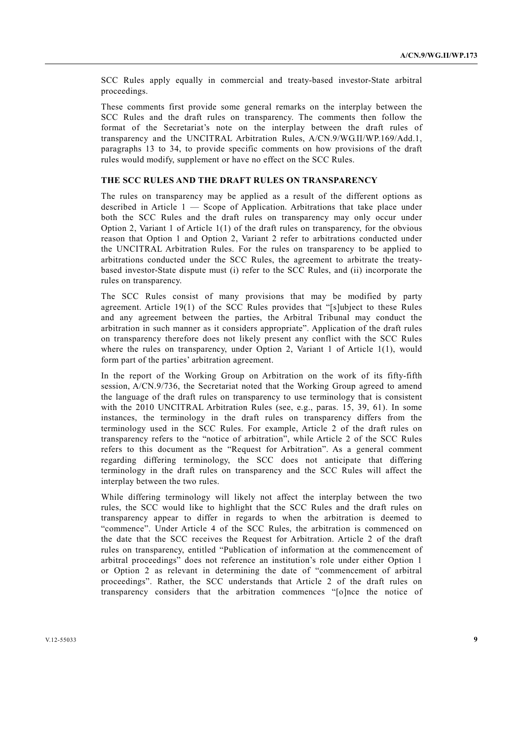SCC Rules apply equally in commercial and treaty-based investor-State arbitral proceedings.

These comments first provide some general remarks on the interplay between the SCC Rules and the draft rules on transparency. The comments then follow the format of the Secretariat's note on the interplay between the draft rules of transparency and the UNCITRAL Arbitration Rules, A/CN.9/WG.II/WP.169/Add.1, paragraphs 13 to 34, to provide specific comments on how provisions of the draft rules would modify, supplement or have no effect on the SCC Rules.

#### **THE SCC RULES AND THE DRAFT RULES ON TRANSPARENCY**

The rules on transparency may be applied as a result of the different options as described in Article 1 — Scope of Application. Arbitrations that take place under both the SCC Rules and the draft rules on transparency may only occur under Option 2, Variant 1 of Article 1(1) of the draft rules on transparency, for the obvious reason that Option 1 and Option 2, Variant 2 refer to arbitrations conducted under the UNCITRAL Arbitration Rules. For the rules on transparency to be applied to arbitrations conducted under the SCC Rules, the agreement to arbitrate the treatybased investor-State dispute must (i) refer to the SCC Rules, and (ii) incorporate the rules on transparency.

The SCC Rules consist of many provisions that may be modified by party agreement. Article 19(1) of the SCC Rules provides that "[s]ubject to these Rules and any agreement between the parties, the Arbitral Tribunal may conduct the arbitration in such manner as it considers appropriate". Application of the draft rules on transparency therefore does not likely present any conflict with the SCC Rules where the rules on transparency, under Option 2, Variant 1 of Article 1(1), would form part of the parties' arbitration agreement.

In the report of the Working Group on Arbitration on the work of its fifty-fifth session, A/CN.9/736, the Secretariat noted that the Working Group agreed to amend the language of the draft rules on transparency to use terminology that is consistent with the 2010 UNCITRAL Arbitration Rules (see, e.g., paras. 15, 39, 61). In some instances, the terminology in the draft rules on transparency differs from the terminology used in the SCC Rules. For example, Article 2 of the draft rules on transparency refers to the "notice of arbitration", while Article 2 of the SCC Rules refers to this document as the "Request for Arbitration". As a general comment regarding differing terminology, the SCC does not anticipate that differing terminology in the draft rules on transparency and the SCC Rules will affect the interplay between the two rules.

While differing terminology will likely not affect the interplay between the two rules, the SCC would like to highlight that the SCC Rules and the draft rules on transparency appear to differ in regards to when the arbitration is deemed to "commence". Under Article 4 of the SCC Rules, the arbitration is commenced on the date that the SCC receives the Request for Arbitration. Article 2 of the draft rules on transparency, entitled "Publication of information at the commencement of arbitral proceedings" does not reference an institution's role under either Option 1 or Option 2 as relevant in determining the date of "commencement of arbitral proceedings". Rather, the SCC understands that Article 2 of the draft rules on transparency considers that the arbitration commences "[o]nce the notice of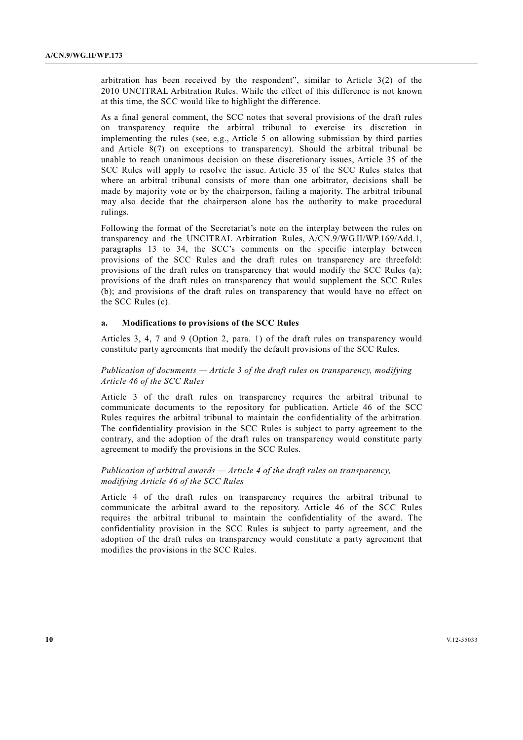arbitration has been received by the respondent", similar to Article 3(2) of the 2010 UNCITRAL Arbitration Rules. While the effect of this difference is not known at this time, the SCC would like to highlight the difference.

As a final general comment, the SCC notes that several provisions of the draft rules on transparency require the arbitral tribunal to exercise its discretion in implementing the rules (see, e.g., Article 5 on allowing submission by third parties and Article 8(7) on exceptions to transparency). Should the arbitral tribunal be unable to reach unanimous decision on these discretionary issues, Article 35 of the SCC Rules will apply to resolve the issue. Article 35 of the SCC Rules states that where an arbitral tribunal consists of more than one arbitrator, decisions shall be made by majority vote or by the chairperson, failing a majority. The arbitral tribunal may also decide that the chairperson alone has the authority to make procedural rulings.

Following the format of the Secretariat's note on the interplay between the rules on transparency and the UNCITRAL Arbitration Rules, A/CN.9/WG.II/WP.169/Add.1, paragraphs 13 to 34, the SCC's comments on the specific interplay between provisions of the SCC Rules and the draft rules on transparency are threefold: provisions of the draft rules on transparency that would modify the SCC Rules (a); provisions of the draft rules on transparency that would supplement the SCC Rules (b); and provisions of the draft rules on transparency that would have no effect on the SCC Rules (c).

#### **a. Modifications to provisions of the SCC Rules**

Articles 3, 4, 7 and 9 (Option 2, para. 1) of the draft rules on transparency would constitute party agreements that modify the default provisions of the SCC Rules.

## *Publication of documents — Article 3 of the draft rules on transparency, modifying Article 46 of the SCC Rules*

Article 3 of the draft rules on transparency requires the arbitral tribunal to communicate documents to the repository for publication. Article 46 of the SCC Rules requires the arbitral tribunal to maintain the confidentiality of the arbitration. The confidentiality provision in the SCC Rules is subject to party agreement to the contrary, and the adoption of the draft rules on transparency would constitute party agreement to modify the provisions in the SCC Rules.

#### *Publication of arbitral awards — Article 4 of the draft rules on transparency, modifying Article 46 of the SCC Rules*

Article 4 of the draft rules on transparency requires the arbitral tribunal to communicate the arbitral award to the repository. Article 46 of the SCC Rules requires the arbitral tribunal to maintain the confidentiality of the award. The confidentiality provision in the SCC Rules is subject to party agreement, and the adoption of the draft rules on transparency would constitute a party agreement that modifies the provisions in the SCC Rules.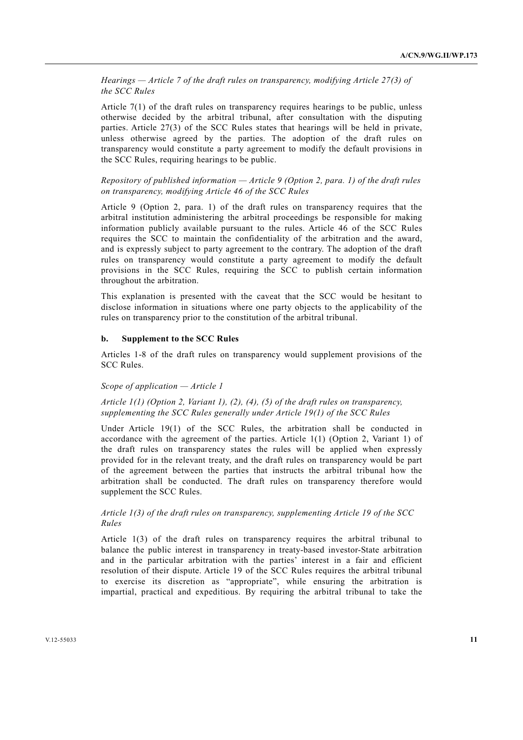*Hearings — Article 7 of the draft rules on transparency, modifying Article 27(3) of the SCC Rules* 

Article 7(1) of the draft rules on transparency requires hearings to be public, unless otherwise decided by the arbitral tribunal, after consultation with the disputing parties. Article 27(3) of the SCC Rules states that hearings will be held in private, unless otherwise agreed by the parties. The adoption of the draft rules on transparency would constitute a party agreement to modify the default provisions in the SCC Rules, requiring hearings to be public.

## *Repository of published information — Article 9 (Option 2, para. 1) of the draft rules on transparency, modifying Article 46 of the SCC Rules*

Article 9 (Option 2, para. 1) of the draft rules on transparency requires that the arbitral institution administering the arbitral proceedings be responsible for making information publicly available pursuant to the rules. Article 46 of the SCC Rules requires the SCC to maintain the confidentiality of the arbitration and the award, and is expressly subject to party agreement to the contrary. The adoption of the draft rules on transparency would constitute a party agreement to modify the default provisions in the SCC Rules, requiring the SCC to publish certain information throughout the arbitration.

This explanation is presented with the caveat that the SCC would be hesitant to disclose information in situations where one party objects to the applicability of the rules on transparency prior to the constitution of the arbitral tribunal.

#### **b. Supplement to the SCC Rules**

Articles 1-8 of the draft rules on transparency would supplement provisions of the SCC Rules.

#### *Scope of application — Article 1*

 *Article 1(1) (Option 2, Variant 1), (2), (4), (5) of the draft rules on transparency, supplementing the SCC Rules generally under Article 19(1) of the SCC Rules* 

Under Article 19(1) of the SCC Rules, the arbitration shall be conducted in accordance with the agreement of the parties. Article 1(1) (Option 2, Variant 1) of the draft rules on transparency states the rules will be applied when expressly provided for in the relevant treaty, and the draft rules on transparency would be part of the agreement between the parties that instructs the arbitral tribunal how the arbitration shall be conducted. The draft rules on transparency therefore would supplement the SCC Rules.

## *Article 1(3) of the draft rules on transparency, supplementing Article 19 of the SCC Rules*

Article 1(3) of the draft rules on transparency requires the arbitral tribunal to balance the public interest in transparency in treaty-based investor-State arbitration and in the particular arbitration with the parties' interest in a fair and efficient resolution of their dispute. Article 19 of the SCC Rules requires the arbitral tribunal to exercise its discretion as "appropriate", while ensuring the arbitration is impartial, practical and expeditious. By requiring the arbitral tribunal to take the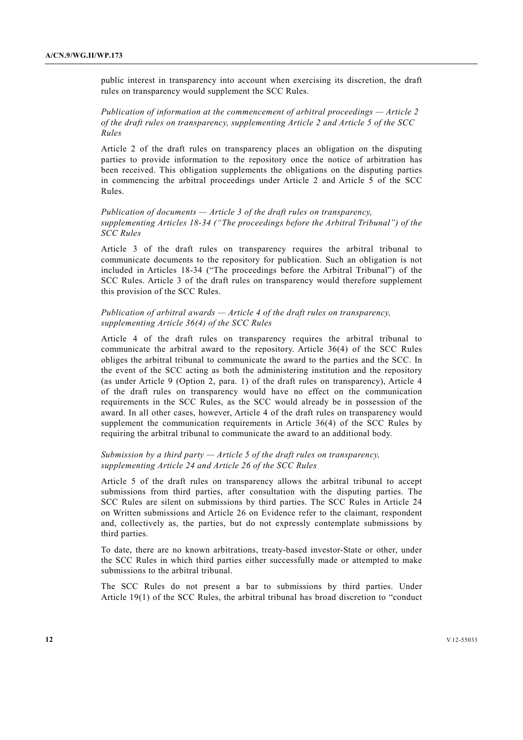public interest in transparency into account when exercising its discretion, the draft rules on transparency would supplement the SCC Rules.

 *Publication of information at the commencement of arbitral proceedings — Article 2 of the draft rules on transparency, supplementing Article 2 and Article 5 of the SCC Rules* 

Article 2 of the draft rules on transparency places an obligation on the disputing parties to provide information to the repository once the notice of arbitration has been received. This obligation supplements the obligations on the disputing parties in commencing the arbitral proceedings under Article 2 and Article 5 of the SCC Rules.

## *Publication of documents — Article 3 of the draft rules on transparency, supplementing Articles 18-34 ("The proceedings before the Arbitral Tribunal") of the SCC Rules*

Article 3 of the draft rules on transparency requires the arbitral tribunal to communicate documents to the repository for publication. Such an obligation is not included in Articles 18-34 ("The proceedings before the Arbitral Tribunal") of the SCC Rules. Article 3 of the draft rules on transparency would therefore supplement this provision of the SCC Rules.

## *Publication of arbitral awards — Article 4 of the draft rules on transparency, supplementing Article 36(4) of the SCC Rules*

Article 4 of the draft rules on transparency requires the arbitral tribunal to communicate the arbitral award to the repository. Article 36(4) of the SCC Rules obliges the arbitral tribunal to communicate the award to the parties and the SCC. In the event of the SCC acting as both the administering institution and the repository (as under Article 9 (Option 2, para. 1) of the draft rules on transparency), Article 4 of the draft rules on transparency would have no effect on the communication requirements in the SCC Rules, as the SCC would already be in possession of the award. In all other cases, however, Article 4 of the draft rules on transparency would supplement the communication requirements in Article 36(4) of the SCC Rules by requiring the arbitral tribunal to communicate the award to an additional body.

## *Submission by a third party — Article 5 of the draft rules on transparency, supplementing Article 24 and Article 26 of the SCC Rules*

Article 5 of the draft rules on transparency allows the arbitral tribunal to accept submissions from third parties, after consultation with the disputing parties. The SCC Rules are silent on submissions by third parties. The SCC Rules in Article 24 on Written submissions and Article 26 on Evidence refer to the claimant, respondent and, collectively as, the parties, but do not expressly contemplate submissions by third parties.

To date, there are no known arbitrations, treaty-based investor-State or other, under the SCC Rules in which third parties either successfully made or attempted to make submissions to the arbitral tribunal.

The SCC Rules do not present a bar to submissions by third parties. Under Article 19(1) of the SCC Rules, the arbitral tribunal has broad discretion to "conduct